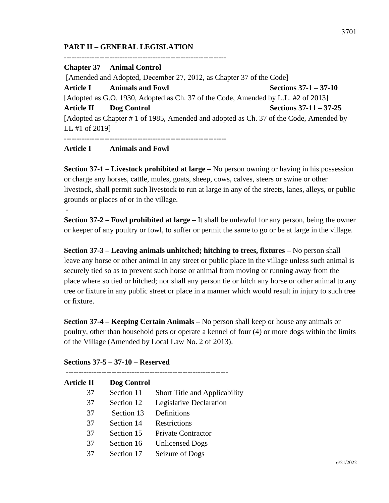## **PART II – GENERAL LEGISLATION**

**----------------------------------------------------------------**

**Chapter 37 Animal Control** [Amended and Adopted, December 27, 2012, as Chapter 37 of the Code] **Article I Animals and Fowl Sections 37-1 – 37-10** [Adopted as G.O. 1930, Adopted as Ch. 37 of the Code, Amended by L.L. #2 of 2013] **Article II Dog Control Sections 37-11 – 37-25** [Adopted as Chapter # 1 of 1985, Amended and adopted as Ch. 37 of the Code, Amended by LL #1 of 2019] **----------------------------------------------------------------**

## **Article I Animals and Fowl**

-

**Section 37-1 – Livestock prohibited at large –** No person owning or having in his possession or charge any horses, cattle, mules, goats, sheep, cows, calves, steers or swine or other livestock, shall permit such livestock to run at large in any of the streets, lanes, alleys, or public grounds or places of or in the village.

**Section 37-2 – Fowl prohibited at large –** It shall be unlawful for any person, being the owner or keeper of any poultry or fowl, to suffer or permit the same to go or be at large in the village.

**Section 37-3 – Leaving animals unhitched; hitching to trees, fixtures –** No person shall leave any horse or other animal in any street or public place in the village unless such animal is securely tied so as to prevent such horse or animal from moving or running away from the place where so tied or hitched; nor shall any person tie or hitch any horse or other animal to any tree or fixture in any public street or place in a manner which would result in injury to such tree or fixture.

**Section 37-4 – Keeping Certain Animals –** No person shall keep or house any animals or poultry, other than household pets or operate a kennel of four (4) or more dogs within the limits of the Village (Amended by Local Law No. 2 of 2013).

| Sections 37-5 – 37-10 – Reserved |
|----------------------------------|
|----------------------------------|

| <b>Article II</b> | Dog Control |                                      |
|-------------------|-------------|--------------------------------------|
| 37                | Section 11  | <b>Short Title and Applicability</b> |
| 37                | Section 12  | Legislative Declaration              |
| 37                | Section 13  | Definitions                          |
| 37                | Section 14  | Restrictions                         |
| 37                | Section 15  | <b>Private Contractor</b>            |
| 37                | Section 16  | <b>Unlicensed Dogs</b>               |
| 37                | Section 17  | Seizure of Dogs                      |
|                   |             |                                      |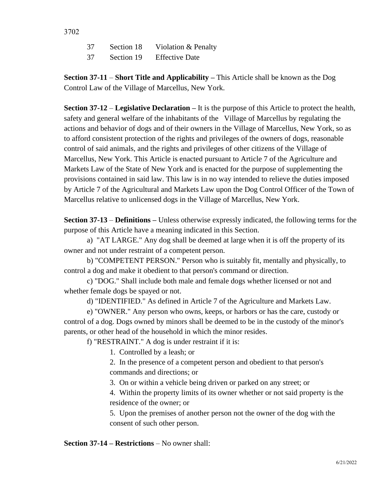3702

- 37 Section 18 Violation & Penalty
- 37 Section 19 Effective Date

**Section 37-11** – **Short Title and Applicability –** This Article shall be known as the Dog Control Law of the Village of Marcellus, New York.

**Section 37-12** – **Legislative Declaration –** It is the purpose of this Article to protect the health, safety and general welfare of the inhabitants of the Village of Marcellus by regulating the actions and behavior of dogs and of their owners in the Village of Marcellus, New York, so as to afford consistent protection of the rights and privileges of the owners of dogs, reasonable control of said animals, and the rights and privileges of other citizens of the Village of Marcellus, New York. This Article is enacted pursuant to Article 7 of the Agriculture and Markets Law of the State of New York and is enacted for the purpose of supplementing the provisions contained in said law. This law is in no way intended to relieve the duties imposed by Article 7 of the Agricultural and Markets Law upon the Dog Control Officer of the Town of Marcellus relative to unlicensed dogs in the Village of Marcellus, New York.

**Section 37-13** – **Definitions –** Unless otherwise expressly indicated, the following terms for the purpose of this Article have a meaning indicated in this Section.

a) "AT LARGE." Any dog shall be deemed at large when it is off the property of its owner and not under restraint of a competent person.

b) "COMPETENT PERSON." Person who is suitably fit, mentally and physically, to control a dog and make it obedient to that person's command or direction.

c) "DOG." Shall include both male and female dogs whether licensed or not and whether female dogs be spayed or not.

d) "IDENTIFIED." As defined in Article 7 of the Agriculture and Markets Law.

e) "OWNER." Any person who owns, keeps, or harbors or has the care, custody or control of a dog. Dogs owned by minors shall be deemed to be in the custody of the minor's parents, or other head of the household in which the minor resides.

f) "RESTRAINT." A dog is under restraint if it is:

1. Controlled by a leash; or

2. In the presence of a competent person and obedient to that person's commands and directions; or

3. On or within a vehicle being driven or parked on any street; or

4. Within the property limits of its owner whether or not said property is the residence of the owner; or

5. Upon the premises of another person not the owner of the dog with the consent of such other person.

**Section 37-14 – Restrictions** – No owner shall: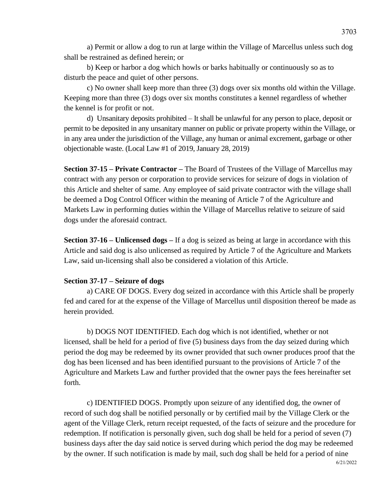a) Permit or allow a dog to run at large within the Village of Marcellus unless such dog shall be restrained as defined herein; or

b) Keep or harbor a dog which howls or barks habitually or continuously so as to disturb the peace and quiet of other persons.

c) No owner shall keep more than three (3) dogs over six months old within the Village. Keeping more than three (3) dogs over six months constitutes a kennel regardless of whether the kennel is for profit or not.

d) Unsanitary deposits prohibited – It shall be unlawful for any person to place, deposit or permit to be deposited in any unsanitary manner on public or private property within the Village, or in any area under the jurisdiction of the Village, any human or animal excrement, garbage or other objectionable waste. (Local Law #1 of 2019, January 28, 2019)

**Section 37-15 – Private Contractor –** The Board of Trustees of the Village of Marcellus may contract with any person or corporation to provide services for seizure of dogs in violation of this Article and shelter of same. Any employee of said private contractor with the village shall be deemed a Dog Control Officer within the meaning of Article 7 of the Agriculture and Markets Law in performing duties within the Village of Marcellus relative to seizure of said dogs under the aforesaid contract.

**Section 37-16 – Unlicensed dogs –** If a dog is seized as being at large in accordance with this Article and said dog is also unlicensed as required by Article 7 of the Agriculture and Markets Law, said un-licensing shall also be considered a violation of this Article.

## **Section 37-17 – Seizure of dogs**

a) CARE OF DOGS. Every dog seized in accordance with this Article shall be properly fed and cared for at the expense of the Village of Marcellus until disposition thereof be made as herein provided.

b) DOGS NOT IDENTIFIED. Each dog which is not identified, whether or not licensed, shall be held for a period of five (5) business days from the day seized during which period the dog may be redeemed by its owner provided that such owner produces proof that the dog has been licensed and has been identified pursuant to the provisions of Article 7 of the Agriculture and Markets Law and further provided that the owner pays the fees hereinafter set forth.

c) IDENTIFIED DOGS. Promptly upon seizure of any identified dog, the owner of record of such dog shall be notified personally or by certified mail by the Village Clerk or the agent of the Village Clerk, return receipt requested, of the facts of seizure and the procedure for redemption. If notification is personally given, such dog shall be held for a period of seven (7) business days after the day said notice is served during which period the dog may be redeemed by the owner. If such notification is made by mail, such dog shall be held for a period of nine